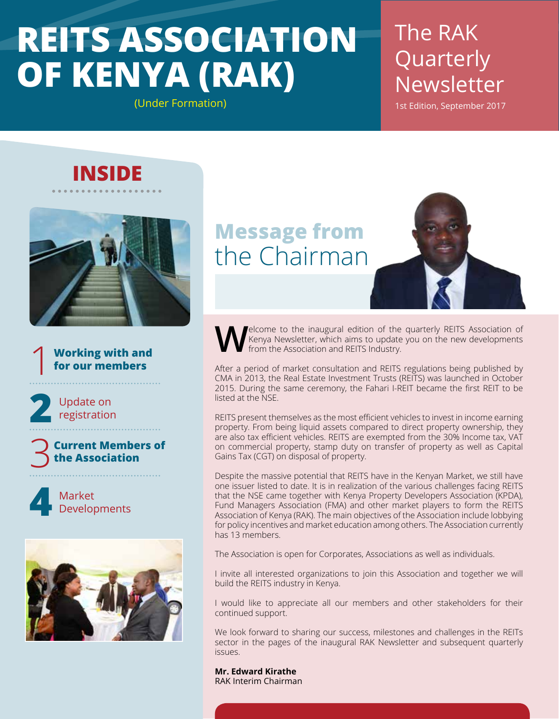## **REITS ASSOCIATION OF KENYA (RAK)** (Under Formation)

The RAK Quarterly Newsletter

1st Edition, September 2017

### **INSIDE**



**Working with and for our members** 1

Update on<br>registration

**Current Members of the Association** 3

Market **4** Developments



### **Message from** the Chairman

**Welcome to the inaugural edition of the quarterly REITS Association of Kenya Newsletter, which aims to update you on the new developments from the Association and REITS Industry.** Kenya Newsletter, which aims to update you on the new developments from the Association and REITS Industry.

After a period of market consultation and REITS regulations being published by CMA in 2013, the Real Estate Investment Trusts (REITS) was launched in October 2015. During the same ceremony, the Fahari I-REIT became the first REIT to be listed at the NSE.

REITS present themselves as the most efficient vehicles to invest in income earning property. From being liquid assets compared to direct property ownership, they are also tax efficient vehicles. REITS are exempted from the 30% Income tax, VAT on commercial property, stamp duty on transfer of property as well as Capital Gains Tax (CGT) on disposal of property.

Despite the massive potential that REITS have in the Kenyan Market, we still have one issuer listed to date. It is in realization of the various challenges facing REITS that the NSE came together with Kenya Property Developers Association (KPDA), Fund Managers Association (FMA) and other market players to form the REITS Association of Kenya (RAK). The main objectives of the Association include lobbying for policy incentives and market education among others. The Association currently has 13 members.

The Association is open for Corporates, Associations as well as individuals.

I invite all interested organizations to join this Association and together we will build the REITS industry in Kenya.

I would like to appreciate all our members and other stakeholders for their continued support.

We look forward to sharing our success, milestones and challenges in the REITs sector in the pages of the inaugural RAK Newsletter and subsequent quarterly issues.

**Mr. Edward Kirathe** RAK Interim Chairman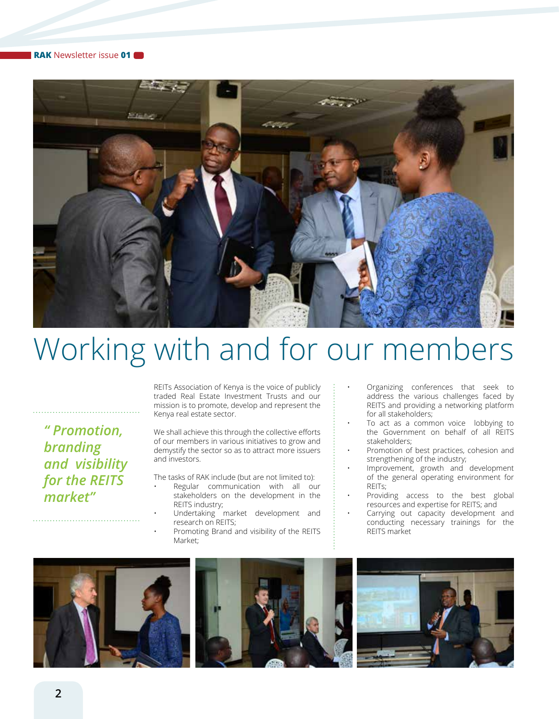

# Working with and for our members

*" Promotion, branding and visibility for the REITS market"*

REITs Association of Kenya is the voice of publicly traded Real Estate Investment Trusts and our mission is to promote, develop and represent the Kenya real estate sector.

We shall achieve this through the collective efforts of our members in various initiatives to grow and demystify the sector so as to attract more issuers and investors.

The tasks of RAK include (but are not limited to):

- Regular communication with all our stakeholders on the development in the REITS industry;
- Undertaking market development and research on REITS;
- Promoting Brand and visibility of the REITS Market;
- Organizing conferences that seek to address the various challenges faced by REITS and providing a networking platform for all stakeholders;
- To act as a common voice lobbying to the Government on behalf of all REITS stakeholders;
- Promotion of best practices, cohesion and strengthening of the industry;
- Improvement, growth and development of the general operating environment for REITs;
- Providing access to the best global resources and expertise for REITS; and
- Carrying out capacity development and conducting necessary trainings for the REITS market





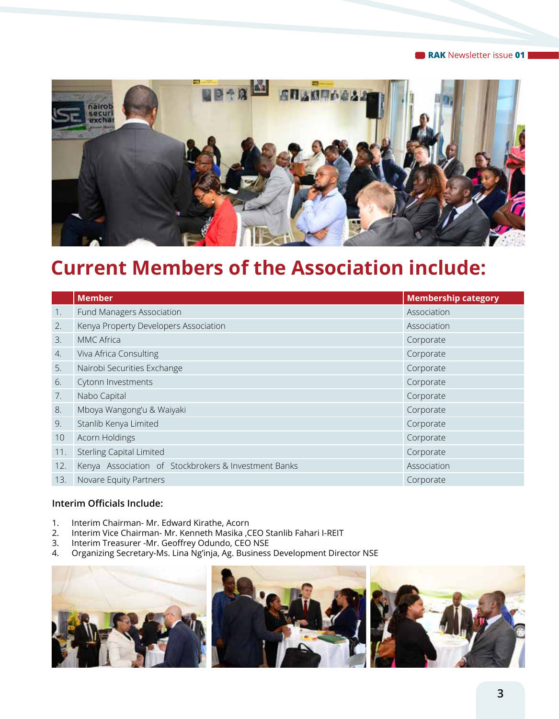**RAK** Newsletter issue **01**



### **Current Members of the Association include:**

|     | <b>Member</b>                                        | <b>Membership category</b> |
|-----|------------------------------------------------------|----------------------------|
| 1.  | Fund Managers Association                            | Association                |
| 2.  | Kenya Property Developers Association                | Association                |
| 3.  | MMC Africa                                           | Corporate                  |
| 4.  | Viva Africa Consulting                               | Corporate                  |
| 5.  | Nairobi Securities Exchange                          | Corporate                  |
| 6.  | Cytonn Investments                                   | Corporate                  |
| 7.  | Nabo Capital                                         | Corporate                  |
| 8.  | Mboya Wangong'u & Waiyaki                            | Corporate                  |
| 9.  | Stanlib Kenya Limited                                | Corporate                  |
| 10  | Acorn Holdings                                       | Corporate                  |
| 11. | <b>Sterling Capital Limited</b>                      | Corporate                  |
| 12. | Kenya Association of Stockbrokers & Investment Banks | Association                |
| 13. | Novare Equity Partners                               | Corporate                  |

#### **Interim Officials Include:**

- 1. Interim Chairman- Mr. Edward Kirathe, Acorn
- 2. Interim Vice Chairman- Mr. Kenneth Masika ,CEO Stanlib Fahari I-REIT<br>3. Interim Treasurer -Mr. Geoffrey Odundo, CEO NSE
- Interim Treasurer -Mr. Geoffrey Odundo, CEO NSE
- 4. Organizing Secretary-Ms. Lina Ng'inja, Ag. Business Development Director NSE